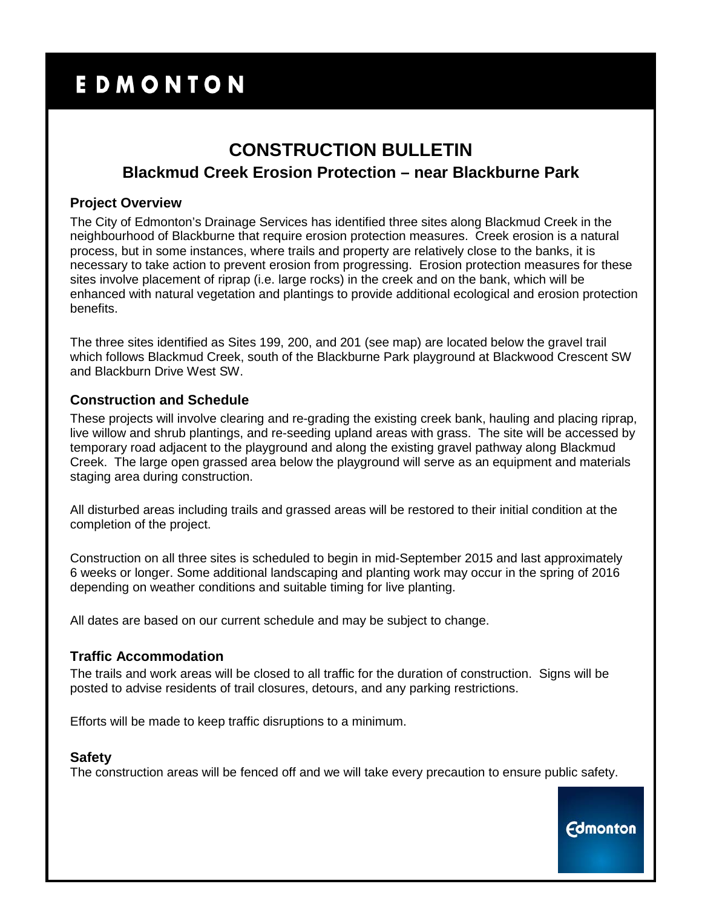# EDMONTON

## **CONSTRUCTION BULLETIN Blackmud Creek Erosion Protection – near Blackburne Park**

#### **Project Overview**

The City of Edmonton's Drainage Services has identified three sites along Blackmud Creek in the neighbourhood of Blackburne that require erosion protection measures. Creek erosion is a natural process, but in some instances, where trails and property are relatively close to the banks, it is necessary to take action to prevent erosion from progressing. Erosion protection measures for these sites involve placement of riprap (i.e. large rocks) in the creek and on the bank, which will be enhanced with natural vegetation and plantings to provide additional ecological and erosion protection benefits.

The three sites identified as Sites 199, 200, and 201 (see map) are located below the gravel trail which follows Blackmud Creek, south of the Blackburne Park playground at Blackwood Crescent SW and Blackburn Drive West SW.

#### **Construction and Schedule**

These projects will involve clearing and re-grading the existing creek bank, hauling and placing riprap, live willow and shrub plantings, and re-seeding upland areas with grass. The site will be accessed by temporary road adjacent to the playground and along the existing gravel pathway along Blackmud Creek. The large open grassed area below the playground will serve as an equipment and materials staging area during construction.

All disturbed areas including trails and grassed areas will be restored to their initial condition at the completion of the project.

Construction on all three sites is scheduled to begin in mid-September 2015 and last approximately 6 weeks or longer. Some additional landscaping and planting work may occur in the spring of 2016 depending on weather conditions and suitable timing for live planting.

All dates are based on our current schedule and may be subject to change.

#### **Traffic Accommodation**

The trails and work areas will be closed to all traffic for the duration of construction. Signs will be posted to advise residents of trail closures, detours, and any parking restrictions.

Efforts will be made to keep traffic disruptions to a minimum.

#### **Safety**

The construction areas will be fenced off and we will take every precaution to ensure public safety.

**Edmonton**